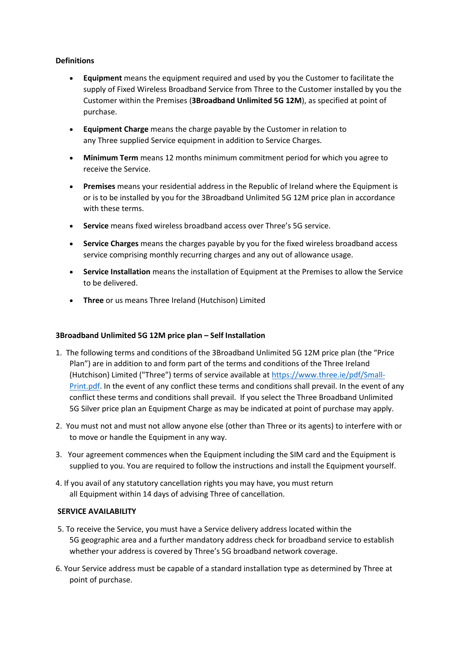## **Definitions**

- **Equipment** means the equipment required and used by you the Customer to facilitate the supply of Fixed Wireless Broadband Service from Three to the Customer installed by you the Customer within the Premises (**3Broadband Unlimited 5G 12M**), as specified at point of purchase.
- **Equipment Charge** means the charge payable by the Customer in relation to any Three supplied Service equipment in addition to Service Charges.
- **Minimum Term** means 12 months minimum commitment period for which you agree to receive the Service.
- **Premises** means your residential address in the Republic of Ireland where the Equipment is or is to be installed by you for the 3Broadband Unlimited 5G 12M price plan in accordance with these terms.
- **Service** means fixed wireless broadband access over Three's 5G service.
- **Service Charges** means the charges payable by you for the fixed wireless broadband access service comprising monthly recurring charges and any out of allowance usage.
- **Service Installation** means the installation of Equipment at the Premises to allow the Service to be delivered.
- **Three** or us means Three Ireland (Hutchison) Limited

### **3Broadband Unlimited 5G 12M price plan – Self Installation**

- 1. The following terms and conditions of the 3Broadband Unlimited 5G 12M price plan (the "Price Plan") are in addition to and form part of the terms and conditions of the Three Ireland (Hutchison) Limited ("Three") terms of service available at [https://www.three.ie/pdf/Small-](https://www.three.ie/pdf/Small-Print.pdf)[Print.pdf.](https://www.three.ie/pdf/Small-Print.pdf) In the event of any conflict these terms and conditions shall prevail. In the event of any conflict these terms and conditions shall prevail. If you select the Three Broadband Unlimited 5G Silver price plan an Equipment Charge as may be indicated at point of purchase may apply.
- 2. You must not and must not allow anyone else (other than Three or its agents) to interfere with or to move or handle the Equipment in any way.
- 3. Your agreement commences when the Equipment including the SIM card and the Equipment is supplied to you. You are required to follow the instructions and install the Equipment yourself.
- 4. If you avail of any statutory cancellation rights you may have, you must return all Equipment within 14 days of advising Three of cancellation.

## **SERVICE AVAILABILITY**

- 5. To receive the Service, you must have a Service delivery address located within the 5G geographic area and a further mandatory address check for broadband service to establish whether your address is covered by Three's 5G broadband network coverage.
- 6. Your Service address must be capable of a standard installation type as determined by Three at point of purchase.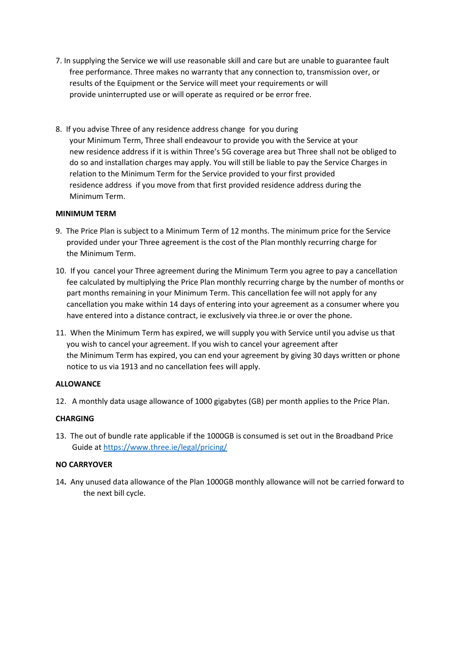- 7. In supplying the Service we will use reasonable skill and care but are unable to guarantee fault free performance. Three makes no warranty that any connection to, transmission over, or results of the Equipment or the Service will meet your requirements or will provide uninterrupted use or will operate as required or be error free.
- 8. If you advise Three of any residence address change for you during your Minimum Term, Three shall endeavour to provide you with the Service at your new residence address if it is within Three's 5G coverage area but Three shall not be obliged to do so and installation charges may apply. You will still be liable to pay the Service Charges in relation to the Minimum Term for the Service provided to your first provided residence address if you move from that first provided residence address during the Minimum Term.

## **MINIMUM TERM**

- 9. The Price Plan is subject to a Minimum Term of 12 months. The minimum price for the Service provided under your Three agreement is the cost of the Plan monthly recurring charge for the Minimum Term.
- 10. If you cancel your Three agreement during the Minimum Term you agree to pay a cancellation fee calculated by multiplying the Price Plan monthly recurring charge by the number of months or part months remaining in your Minimum Term. This cancellation fee will not apply for any cancellation you make within 14 days of entering into your agreement as a consumer where you have entered into a distance contract, ie exclusively via three.ie or over the phone.
- 11. When the Minimum Term has expired, we will supply you with Service until you advise us that you wish to cancel your agreement. If you wish to cancel your agreement after the Minimum Term has expired, you can end your agreement by giving 30 days written or phone notice to us via 1913 and no cancellation fees will apply.

### **ALLOWANCE**

12. A monthly data usage allowance of 1000 gigabytes (GB) per month applies to the Price Plan.

# **CHARGING**

13. The out of bundle rate applicable if the 1000GB is consumed is set out in the Broadband Price Guide at <https://www.three.ie/legal/pricing/>

### **NO CARRYOVER**

14**.** Any unused data allowance of the Plan 1000GB monthly allowance will not be carried forward to the next bill cycle.